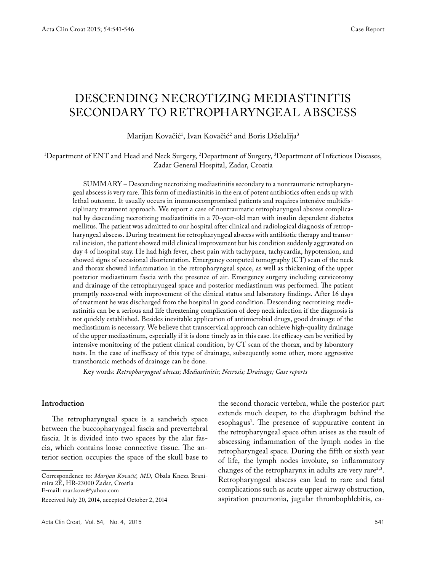# Descending necrotizing mediastinitis secondary to retropharyngeal abscess

# Marijan Kovačić<sup>1</sup>, Ivan Kovačić<sup>2</sup> and Boris Dželalija<sup>3</sup>

### 1 Department of ENT and Head and Neck Surgery, 2 Department of Surgery, 3 Department of Infectious Diseases, Zadar General Hospital, Zadar, Croatia

SUMMARY – Descending necrotizing mediastinitis secondary to a nontraumatic retropharyngeal abscess is very rare. This form of mediastinitis in the era of potent antibiotics often ends up with lethal outcome. It usually occurs in immunocompromised patients and requires intensive multidisciplinary treatment approach. We report a case of nontraumatic retropharyngeal abscess complicated by descending necrotizing mediastinitis in a 70-year-old man with insulin dependent diabetes mellitus. The patient was admitted to our hospital after clinical and radiological diagnosis of retropharyngeal abscess. During treatment for retropharyngeal abscess with antibiotic therapy and transoral incision, the patient showed mild clinical improvement but his condition suddenly aggravated on day 4 of hospital stay. He had high fever, chest pain with tachypnea, tachycardia, hypotension, and showed signs of occasional disorientation. Emergency computed tomography (CT) scan of the neck and thorax showed inflammation in the retropharyngeal space, as well as thickening of the upper posterior mediastinum fascia with the presence of air. Emergency surgery including cervicotomy and drainage of the retropharyngeal space and posterior mediastinum was performed. The patient promptly recovered with improvement of the clinical status and laboratory findings. After 16 days of treatment he was discharged from the hospital in good condition. Descending necrotizing mediastinitis can be a serious and life threatening complication of deep neck infection if the diagnosis is not quickly established. Besides inevitable application of antimicrobial drugs, good drainage of the mediastinum is necessary. We believe that transcervical approach can achieve high-quality drainage of the upper mediastinum, especially if it is done timely as in this case. Its efficacy can be verified by intensive monitoring of the patient clinical condition, by CT scan of the thorax, and by laboratory tests. In the case of inefficacy of this type of drainage, subsequently some other, more aggressive transthoracic methods of drainage can be done.

Key words: *Retropharyngeal abscess; Mediastinitis; Necrosis; Drainage; Case reports*

#### **Introduction**

The retropharyngeal space is a sandwich space between the buccopharyngeal fascia and prevertebral fascia. It is divided into two spaces by the alar fascia, which contains loose connective tissue. The anterior section occupies the space of the skull base to

Correspondence to: *Marijan Kovačić, MD,* Obala Kneza Branimira 2E, HR-23000 Zadar, Croatia E-mail: mar.kova@yahoo.com

Received July 20, 2014, accepted October 2, 2014

the second thoracic vertebra, while the posterior part extends much deeper, to the diaphragm behind the esophagus<sup>1</sup>. The presence of suppurative content in the retropharyngeal space often arises as the result of abscessing inflammation of the lymph nodes in the retropharyngeal space. During the fifth or sixth year of life, the lymph nodes involute, so inflammatory changes of the retropharynx in adults are very rare<sup>2,3</sup>. Retropharyngeal abscess can lead to rare and fatal complications such as acute upper airway obstruction, aspiration pneumonia, jugular thrombophlebitis, ca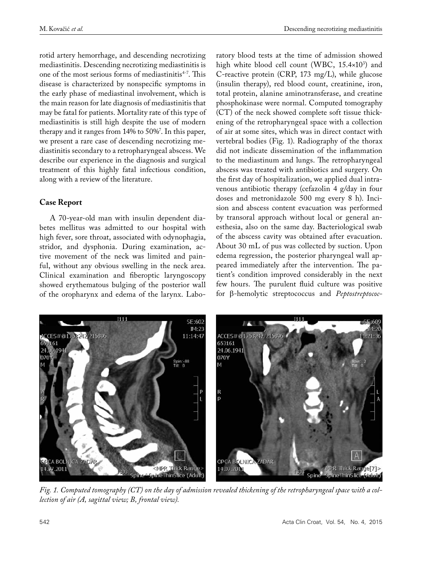rotid artery hemorrhage, and descending necrotizing mediastinitis. Descending necrotizing mediastinitis is one of the most serious forms of mediastinitis4-7. This disease is characterized by nonspecific symptoms in the early phase of mediastinal involvement, which is the main reason for late diagnosis of mediastinitis that may be fatal for patients. Mortality rate of this type of mediastinitis is still high despite the use of modern therapy and it ranges from  $14\%$  to  $50\%^\prime$ . In this paper, we present a rare case of descending necrotizing mediastinitis secondary to a retropharyngeal abscess. We describe our experience in the diagnosis and surgical treatment of this highly fatal infectious condition, along with a review of the literature.

## **Case Report**

A 70-year-old man with insulin dependent diabetes mellitus was admitted to our hospital with high fever, sore throat, associated with odynophagia, stridor, and dysphonia. During examination, active movement of the neck was limited and painful, without any obvious swelling in the neck area. Clinical examination and fiberoptic laryngoscopy showed erythematous bulging of the posterior wall of the oropharynx and edema of the larynx. Laboratory blood tests at the time of admission showed high white blood cell count (WBC, 15.4×10<sup>3</sup>) and C-reactive protein (CRP, 173 mg/L), while glucose (insulin therapy), red blood count, creatinine, iron, total protein, alanine aminotransferase, and creatine phosphokinase were normal. Computed tomography (CT) of the neck showed complete soft tissue thickening of the retropharyngeal space with a collection of air at some sites, which was in direct contact with vertebral bodies (Fig. 1). Radiography of the thorax did not indicate dissemination of the inflammation to the mediastinum and lungs. The retropharyngeal abscess was treated with antibiotics and surgery. On the first day of hospitalization, we applied dual intravenous antibiotic therapy (cefazolin 4 g/day in four doses and metronidazole 500 mg every 8 h). Incision and abscess content evacuation was performed by transoral approach without local or general anesthesia, also on the same day. Bacteriological swab of the abscess cavity was obtained after evacuation. About 30 mL of pus was collected by suction. Upon edema regression, the posterior pharyngeal wall appeared immediately after the intervention. The patient's condition improved considerably in the next few hours. The purulent fluid culture was positive for β-hemolytic streptococcus and *Peptostreptococ-*



*Fig. 1. Computed tomography (CT) on the day of admission revealed thickening of the retropharyngeal space with a collection of air (A, sagittal view; B, frontal view).*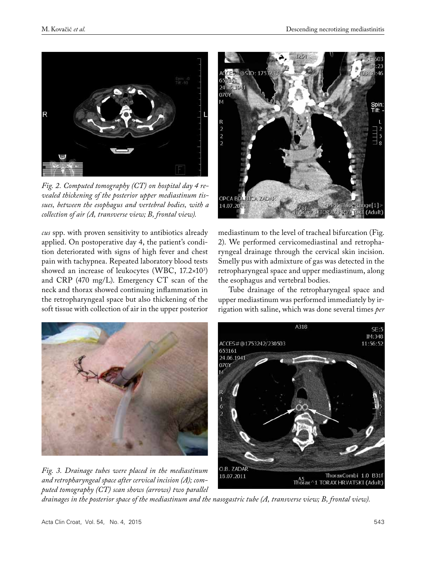

*Fig. 2. Computed tomography (CT) on hospital day 4 revealed thickening of the posterior upper mediastinum tissues, between the esophagus and vertebral bodies, with a collection of air (A, transverse view; B, frontal view).*

*cus* spp. with proven sensitivity to antibiotics already applied. On postoperative day 4, the patient's condition deteriorated with signs of high fever and chest pain with tachypnea. Repeated laboratory blood tests showed an increase of leukocytes (WBC, 17.2×10<sup>3</sup>) and CRP (470 mg/L). Emergency CT scan of the neck and thorax showed continuing inflammation in the retropharyngeal space but also thickening of the soft tissue with collection of air in the upper posterior



mediastinum to the level of tracheal bifurcation (Fig. 2). We performed cervicomediastinal and retropharyngeal drainage through the cervical skin incision. Smelly pus with admixture of gas was detected in the retropharyngeal space and upper mediastinum, along the esophagus and vertebral bodies.

Tube drainage of the retropharyngeal space and upper mediastinum was performed immediately by irrigation with saline, which was done several times *per* 



*puted tomography (CT) scan shows (arrows) two parallel drainages in the posterior space of the mediastinum and the nasogastric tube (A, transverse view; B, frontal view).*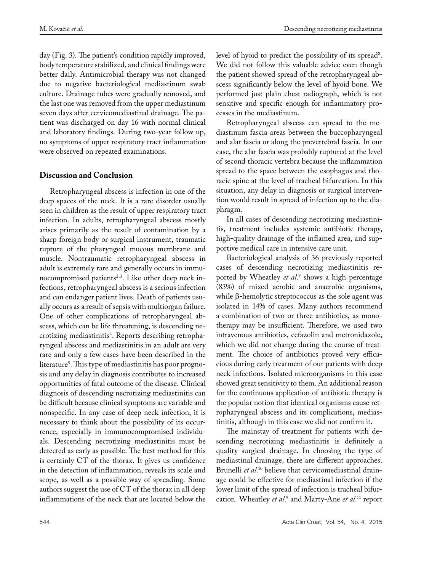day (Fig. 3). The patient's condition rapidly improved, body temperature stabilized, and clinical findings were better daily. Antimicrobial therapy was not changed due to negative bacteriological mediastinum swab culture. Drainage tubes were gradually removed, and the last one was removed from the upper mediastinum seven days after cervicomediastinal drainage. The patient was discharged on day 16 with normal clinical and laboratory findings. During two-year follow up, no symptoms of upper respiratory tract inflammation were observed on repeated examinations.

#### **Discussion and Conclusion**

Retropharyngeal abscess is infection in one of the deep spaces of the neck. It is a rare disorder usually seen in children as the result of upper respiratory tract infection. In adults, retropharyngeal abscess mostly arises primarily as the result of contamination by a sharp foreign body or surgical instrument, traumatic rupture of the pharyngeal mucous membrane and muscle. Nontraumatic retropharyngeal abscess in adult is extremely rare and generally occurs in immunocompromised patients<sup>2,3</sup>. Like other deep neck infections, retropharyngeal abscess is a serious infection and can endanger patient lives. Death of patients usually occurs as a result of sepsis with multiorgan failure. One of other complications of retropharyngeal abscess, which can be life threatening, is descending necrotizing mediastinitis<sup>4</sup>. Reports describing retropharyngeal abscess and mediastinitis in an adult are very rare and only a few cases have been described in the literature5 . This type of mediastinitis has poor prognosis and any delay in diagnosis contributes to increased opportunities of fatal outcome of the disease. Clinical diagnosis of descending necrotizing mediastinitis can be difficult because clinical symptoms are variable and nonspecific. In any case of deep neck infection, it is necessary to think about the possibility of its occurrence, especially in immunocompromised individuals. Descending necrotizing mediastinitis must be detected as early as possible. The best method for this is certainly CT of the thorax. It gives us confidence in the detection of inflammation, reveals its scale and scope, as well as a possible way of spreading. Some authors suggest the use of CT of the thorax in all deep inflammations of the neck that are located below the

level of hyoid to predict the possibility of its spread<sup>8</sup>. We did not follow this valuable advice even though the patient showed spread of the retropharyngeal abscess significantly below the level of hyoid bone. We performed just plain chest radiograph, which is not sensitive and specific enough for inflammatory processes in the mediastinum.

Retropharyngeal abscess can spread to the mediastinum fascia areas between the buccopharyngeal and alar fascia or along the prevertebral fascia. In our case, the alar fascia was probably ruptured at the level of second thoracic vertebra because the inflammation spread to the space between the esophagus and thoracic spine at the level of tracheal bifurcation. In this situation, any delay in diagnosis or surgical intervention would result in spread of infection up to the diaphragm.

In all cases of descending necrotizing mediastinitis, treatment includes systemic antibiotic therapy, high-quality drainage of the inflamed area, and supportive medical care in intensive care unit.

Bacteriological analysis of 36 previously reported cases of descending necrotizing mediastinitis reported by Wheatley *et al.*<sup>9</sup> shows a high percentage (83%) of mixed aerobic and anaerobic organisms, while β-hemolytic streptococcus as the sole agent was isolated in 14% of cases. Many authors recommend a combination of two or three antibiotics, as monotherapy may be insufficient. Therefore, we used two intravenous antibiotics, cefazolin and metronidazole, which we did not change during the course of treatment. The choice of antibiotics proved very efficacious during early treatment of our patients with deep neck infections. Isolated microorganisms in this case showed great sensitivity to them. An additional reason for the continuous application of antibiotic therapy is the popular notion that identical organisms cause retropharyngeal abscess and its complications, mediastinitis, although in this case we did not confirm it.

The mainstay of treatment for patients with descending necrotizing mediastinitis is definitely a quality surgical drainage. In choosing the type of mediastinal drainage, there are different approaches. Brunelli *et al*. 10 believe that cervicomediastinal drainage could be effective for mediastinal infection if the lower limit of the spread of infection is tracheal bifurcation. Wheatley *et al.*<sup>9</sup> and Marty-Ane *et al*.<sup>11</sup> report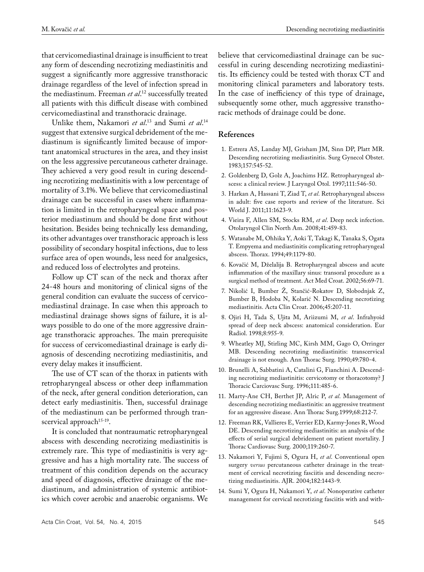that cervicomediastinal drainage is insufficient to treat any form of descending necrotizing mediastinitis and suggest a significantly more aggressive transthoracic drainage regardless of the level of infection spread in the mediastinum. Freeman *et al*. 12 successfully treated all patients with this difficult disease with combined cervicomediastinal and transthoracic drainage.

Unlike them, Nakamori *et al*.<sup>13</sup> and Sumi *et al.*<sup>14</sup> suggest that extensive surgical debridement of the mediastinum is significantly limited because of important anatomical structures in the area, and they insist on the less aggressive percutaneous catheter drainage. They achieved a very good result in curing descending necrotizing mediastinitis with a low percentage of mortality of 3.1%. We believe that cervicomediastinal drainage can be successful in cases where inflammation is limited in the retropharyngeal space and posterior mediastinum and should be done first without hesitation. Besides being technically less demanding, its other advantages over transthoracic approach is less possibility of secondary hospital infections, due to less surface area of open wounds, less need for analgesics, and reduced loss of electrolytes and proteins.

Follow up CT scan of the neck and thorax after 24-48 hours and monitoring of clinical signs of the general condition can evaluate the success of cervicomediastinal drainage. In case when this approach to mediastinal drainage shows signs of failure, it is always possible to do one of the more aggressive drainage transthoracic approaches. The main prerequisite for success of cervicomediastinal drainage is early diagnosis of descending necrotizing mediastinitis, and every delay makes it insufficient.

The use of CT scan of the thorax in patients with retropharyngeal abscess or other deep inflammation of the neck, after general condition deterioration, can detect early mediastinitis. Then, successful drainage of the mediastinum can be performed through transcervical approach<sup>15-19</sup>.

It is concluded that nontraumatic retropharyngeal abscess with descending necrotizing mediastinitis is extremely rare. This type of mediastinitis is very aggressive and has a high mortality rate. The success of treatment of this condition depends on the accuracy and speed of diagnosis, effective drainage of the mediastinum, and administration of systemic antibiotics which cover aerobic and anaerobic organisms. We believe that cervicomediastinal drainage can be successful in curing descending necrotizing mediastinitis. Its efficiency could be tested with thorax CT and monitoring clinical parameters and laboratory tests. In the case of inefficiency of this type of drainage, subsequently some other, much aggressive transthoracic methods of drainage could be done.

#### **References**

- 1. Estrera AS, Landay MJ, Grisham JM, Sinn DP, Platt MR. Descending necrotizing mediastinitis. Surg Gynecol Obstet. 1983;157:545-52.
- 2. Goldenberg D, Golz A, Joachims HZ. Retropharyngeal abscess: a clinical review. J Laryngol Otol. 1997;111:546-50.
- 3. Harkan A, Hassani T, Ziad T, *et al*. Retropharyngeal abscess in adult: five case reports and review of the literature. Sci World J. 2011;11:1623-9.
- 4. Vieira F, Allen SM, Stocks RM, *et al*. Deep neck infection. Otolaryngol Clin North Am. 2008;41:459-83.
- 5. Watanabe M, Ohhika Y, Aoki T, Takagi K, Tanaka S, Ogata T. Empyema and mediastinitis complicating retropharyngeal abscess. Thorax. 1994;49:1179-80.
- 6. Kovačić M, Dželalija B. Retropharyngeal abscess and acute inflammation of the maxillary sinus: transoral procedure as a surgical method of treatment. Act Med Croat. 2002;56:69-71.
- 7. Nikolić I, Bumber Ž, Stančić-Rokatov D, Slobodnjak Z, Bumber B, Hodoba N, Kolarić N. Descending necrotizing mediastinitis. Acta Clin Croat. 2006;45:207-11.
- 8. Ojiri H, Tada S, Ujita M, Ariizumi M, *et al*. Infrahyoid spread of deep neck abscess: anatomical consideration. Eur Radiol. 1998;8:955-9.
- 9. Wheatley MJ, Stirling MC, Kirsh MM, Gago O, Orringer MB. Descending necrotizing mediastinitis: transcervical drainage is not enough. Ann Thorac Surg. 1990;49:780-4.
- 10. Brunelli A, Sabbatini A, Catalini G, Fianchini A. Descending necrotizing mediastinitis: cervicotomy or thoracotomy? J Thoracic Carciovasc Surg. 1996;111:485-6.
- 11. Marty-Ane CH, Berthet JP, Alric P, *et al*. Management of descending necrotizing mediastinitis: an aggressive treatment for an aggressive disease. Ann Thorac Surg.1999;68:212-7.
- 12. Freeman RK, Vallieres E, Verrier ED, Karmy-Jones R, Wood DE. Descending necrotizing mediastinitis: an analysis of the effects of serial surgical debridement on patient mortality. J Thorac Cardiovasc Surg. 2000;119:260-7.
- 13. Nakamori Y, Fujimi S, Ogura H, *et al*. Conventional open surgery *versus* percutaneous catheter drainage in the treatment of cervical necrotizing fasciitis and descending necrotizing mediastinitis. AJR. 2004;182:1443-9.
- 14. Sumi Y, Ogura H, Nakamori Y, *et al*. Nonoperative catheter management for cervical necrotizing fasciitis with and with-